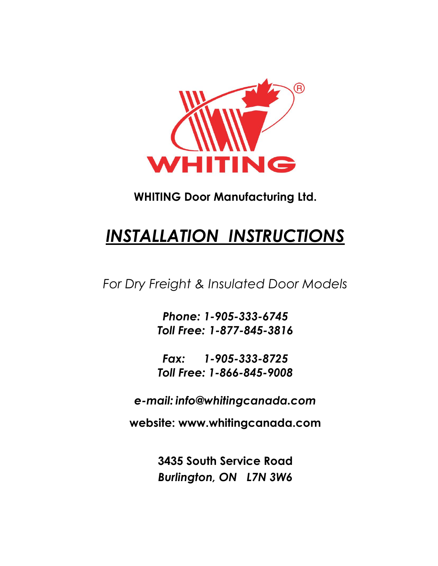

## **WHITING Door Manufacturing Ltd.**

# *INSTALLATION INSTRUCTIONS*

*For Dry Freight & Insulated Door Models*

*Phone: 1-905-333-6745 Toll Free: 1-877-845-3816*

*Fax: 1-905-333-8725 Toll Free: 1-866-845-9008*

*e-mail: info@whitingcanada.com*

**website: www.whitingcanada.com**

**3435 South Service Road** *Burlington, ON L7N 3W6*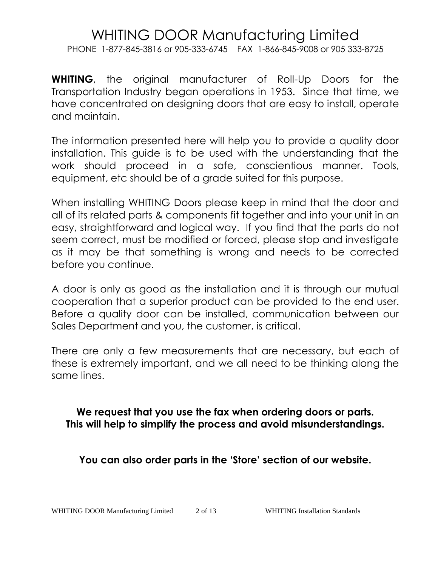PHONE 1-877-845-3816 or 905-333-6745 FAX 1-866-845-9008 or 905 333-8725

**WHITING**, the original manufacturer of Roll-Up Doors for the Transportation Industry began operations in 1953. Since that time, we have concentrated on designing doors that are easy to install, operate and maintain.

The information presented here will help you to provide a quality door installation. This guide is to be used with the understanding that the work should proceed in a safe, conscientious manner. Tools, equipment, etc should be of a grade suited for this purpose.

When installing WHITING Doors please keep in mind that the door and all of its related parts & components fit together and into your unit in an easy, straightforward and logical way. If you find that the parts do not seem correct, must be modified or forced, please stop and investigate as it may be that something is wrong and needs to be corrected before you continue.

A door is only as good as the installation and it is through our mutual cooperation that a superior product can be provided to the end user. Before a quality door can be installed, communication between our Sales Department and you, the customer, is critical.

There are only a few measurements that are necessary, but each of these is extremely important, and we all need to be thinking along the same lines.

**We request that you use the fax when ordering doors or parts. This will help to simplify the process and avoid misunderstandings.**

**You can also order parts in the 'Store' section of our website.**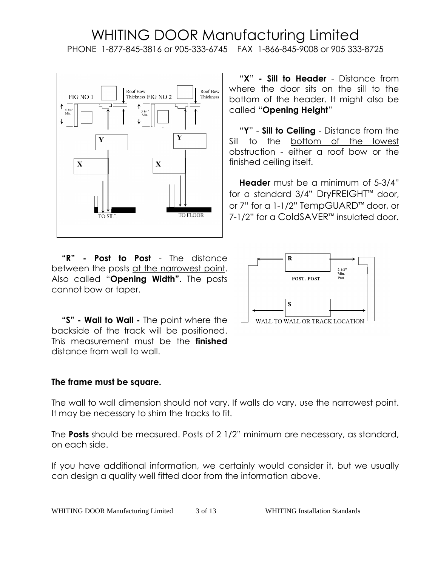#### WHITING DOOR Manufacturing Limited PHONE 1-877-845-3816 or 905-333-6745 FAX 1-866-845-9008 or 905 333-8725



**"R" - Post to Post** - The distance between the posts at the narrowest point. Also called "**Opening Width".** The posts cannot bow or taper.

**"S" - Wall to Wall -** The point where the backside of the track will be positioned. This measurement must be the **finished**  distance from wall to wall.

#### **The frame must be square.**

The wall to wall dimension should not vary. If walls do vary, use the narrowest point. It may be necessary to shim the tracks to fit.

The **Posts** should be measured. Posts of 2 1/2" minimum are necessary, as standard, on each side.

If you have additional information, we certainly would consider it, but we usually can design a quality well fitted door from the information above.

"**X**" **- Sill to Header** - Distance from where the door sits on the sill to the bottom of the header. It might also be called "**Opening Height**"

"**Y**" - **Sill to Ceiling** - Distance from the Sill to the bottom of the lowest obstruction - either a roof bow or the finished ceiling itself.

**Header** must be a minimum of 5-3/4" for a standard 3/4" DryFREIGHT™ door, or 7" for a 1-1/2" TempGUARD™ door, or 7-1/2" for a ColdSAVER™ insulated door**.**

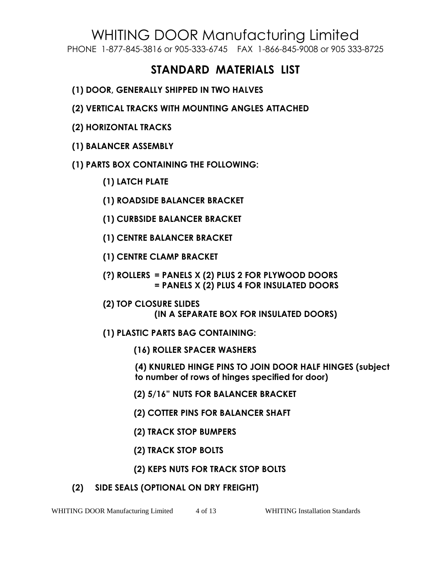PHONE 1-877-845-3816 or 905-333-6745 FAX 1-866-845-9008 or 905 333-8725

## **STANDARD MATERIALS LIST**

- **(1) DOOR, GENERALLY SHIPPED IN TWO HALVES**
- **(2) VERTICAL TRACKS WITH MOUNTING ANGLES ATTACHED**
- **(2) HORIZONTAL TRACKS**
- **(1) BALANCER ASSEMBLY**
- **(1) PARTS BOX CONTAINING THE FOLLOWING:**
	- **(1) LATCH PLATE**
	- **(1) ROADSIDE BALANCER BRACKET**
	- **(1) CURBSIDE BALANCER BRACKET**
	- **(1) CENTRE BALANCER BRACKET**
	- **(1) CENTRE CLAMP BRACKET**
	- **(?) ROLLERS = PANELS X (2) PLUS 2 FOR PLYWOOD DOORS = PANELS X (2) PLUS 4 FOR INSULATED DOORS**
	- **(2) TOP CLOSURE SLIDES (IN A SEPARATE BOX FOR INSULATED DOORS)**
	- **(1) PLASTIC PARTS BAG CONTAINING:**
		- **(16) ROLLER SPACER WASHERS**
		- **(4) KNURLED HINGE PINS TO JOIN DOOR HALF HINGES (subject to number of rows of hinges specified for door)**
		- **(2) 5/16" NUTS FOR BALANCER BRACKET**
		- **(2) COTTER PINS FOR BALANCER SHAFT**
		- **(2) TRACK STOP BUMPERS**
		- **(2) TRACK STOP BOLTS**
		- **(2) KEPS NUTS FOR TRACK STOP BOLTS**
- **(2) SIDE SEALS (OPTIONAL ON DRY FREIGHT)**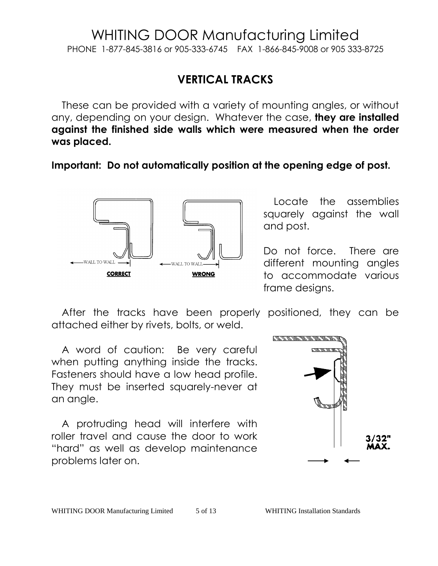#### WHITING DOOR Manufacturing Limited PHONE 1-877-845-3816 or 905-333-6745 FAX 1-866-845-9008 or 905 333-8725

## **VERTICAL TRACKS**

These can be provided with a variety of mounting angles, or without any, depending on your design. Whatever the case, **they are installed against the finished side walls which were measured when the order was placed.**

**Important: Do not automatically position at the opening edge of post.**



Locate the assemblies squarely against the wall and post.

Do not force. There are different mounting angles to accommodate various frame designs.

After the tracks have been properly positioned, they can be attached either by rivets, bolts, or weld.

A word of caution: Be very careful when putting anything inside the tracks. Fasteners should have a low head profile. They must be inserted squarely-never at an angle.

A protruding head will interfere with roller travel and cause the door to work "hard" as well as develop maintenance problems later on.

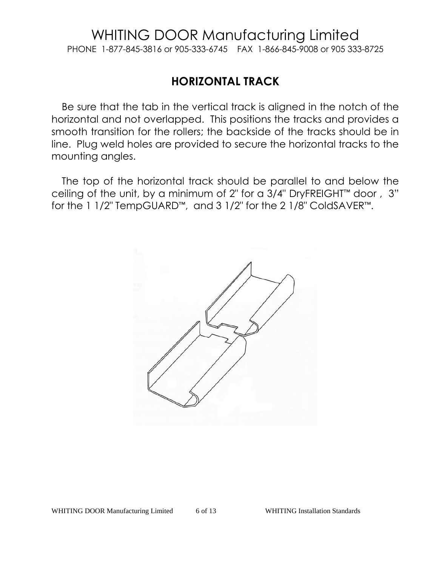PHONE 1-877-845-3816 or 905-333-6745 FAX 1-866-845-9008 or 905 333-8725

## **HORIZONTAL TRACK**

Be sure that the tab in the vertical track is aligned in the notch of the horizontal and not overlapped. This positions the tracks and provides a smooth transition for the rollers; the backside of the tracks should be in line. Plug weld holes are provided to secure the horizontal tracks to the mounting angles.

The top of the horizontal track should be parallel to and below the ceiling of the unit, by a minimum of 2" for a 3/4" DryFREIGHT™ door , 3" for the 1 1/2" TempGUARD™, and 3 1/2" for the 2 1/8" ColdSAVER™.

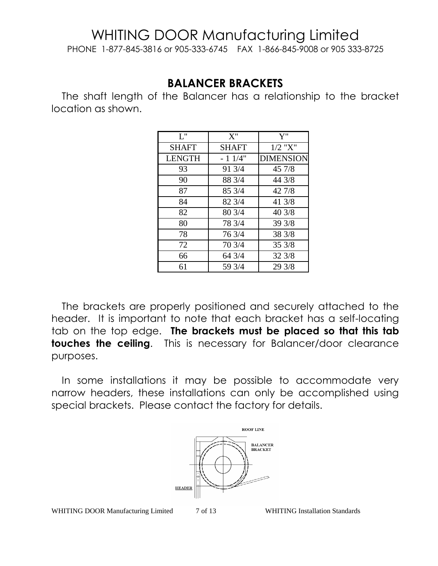PHONE 1-877-845-3816 or 905-333-6745 FAX 1-866-845-9008 or 905 333-8725

### **BALANCER BRACKETS**

The shaft length of the Balancer has a relationship to the bracket location as shown.

| L''           | $X$ "        | ${\bf Y}$ "      |
|---------------|--------------|------------------|
| <b>SHAFT</b>  | <b>SHAFT</b> | $1/2$ "X"        |
| <b>LENGTH</b> | $-11/4"$     | <b>DIMENSION</b> |
| 93            | 91 3/4       | 45 7/8           |
| 90            | 88 3/4       | 44 3/8           |
| 87            | 85 3/4       | 42 7/8           |
| 84            | 82 3/4       | 41 3/8           |
| 82            | 80 3/4       | 40 3/8           |
| 80            | 78 3/4       | 39 3/8           |
| 78            | 76 3/4       | 38 3/8           |
| 72            | 70 3/4       | 353/8            |
| 66            | 64 3/4       | 32 3/8           |
| 61            | 59 3/4       | 29 3/8           |

The brackets are properly positioned and securely attached to the header. It is important to note that each bracket has a self-locating tab on the top edge. **The brackets must be placed so that this tab touches the ceiling**. This is necessary for Balancer/door clearance purposes.

In some installations it may be possible to accommodate very narrow headers, these installations can only be accomplished using special brackets. Please contact the factory for details.

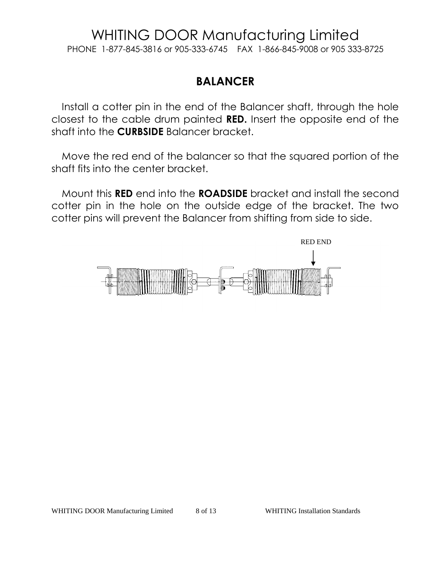PHONE 1-877-845-3816 or 905-333-6745 FAX 1-866-845-9008 or 905 333-8725

## **BALANCER**

Install a cotter pin in the end of the Balancer shaft, through the hole closest to the cable drum painted **RED.** Insert the opposite end of the shaft into the **CURBSIDE** Balancer bracket.

Move the red end of the balancer so that the squared portion of the shaft fits into the center bracket.

Mount this **RED** end into the **ROADSIDE** bracket and install the second cotter pin in the hole on the outside edge of the bracket. The two cotter pins will prevent the Balancer from shifting from side to side.

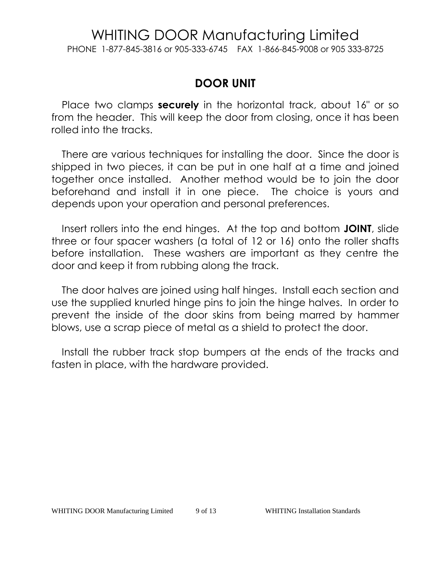PHONE 1-877-845-3816 or 905-333-6745 FAX 1-866-845-9008 or 905 333-8725

### **DOOR UNIT**

Place two clamps **securely** in the horizontal track, about 16" or so from the header. This will keep the door from closing, once it has been rolled into the tracks.

There are various techniques for installing the door. Since the door is shipped in two pieces, it can be put in one half at a time and joined together once installed. Another method would be to join the door beforehand and install it in one piece. The choice is yours and depends upon your operation and personal preferences.

Insert rollers into the end hinges. At the top and bottom **JOINT**, slide three or four spacer washers (a total of 12 or 16) onto the roller shafts before installation. These washers are important as they centre the door and keep it from rubbing along the track.

The door halves are joined using half hinges. Install each section and use the supplied knurled hinge pins to join the hinge halves. In order to prevent the inside of the door skins from being marred by hammer blows, use a scrap piece of metal as a shield to protect the door.

Install the rubber track stop bumpers at the ends of the tracks and fasten in place, with the hardware provided.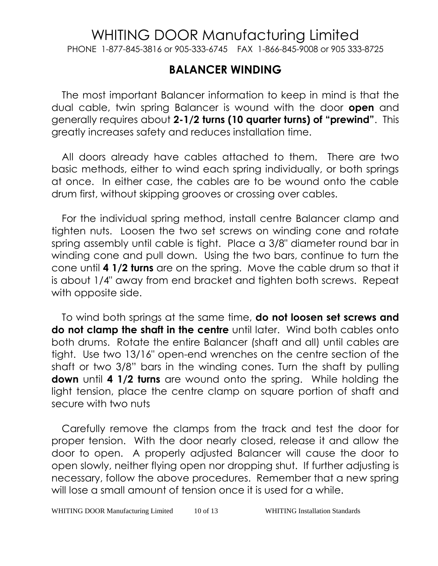PHONE 1-877-845-3816 or 905-333-6745 FAX 1-866-845-9008 or 905 333-8725

#### **BALANCER WINDING**

The most important Balancer information to keep in mind is that the dual cable, twin spring Balancer is wound with the door **open** and generally requires about **2-1/2 turns (10 quarter turns) of "prewind"**. This greatly increases safety and reduces installation time.

All doors already have cables attached to them. There are two basic methods, either to wind each spring individually, or both springs at once. In either case, the cables are to be wound onto the cable drum first, without skipping grooves or crossing over cables.

For the individual spring method, install centre Balancer clamp and tighten nuts. Loosen the two set screws on winding cone and rotate spring assembly until cable is tight. Place a 3/8" diameter round bar in winding cone and pull down. Using the two bars, continue to turn the cone until **4 1/2 turns** are on the spring. Move the cable drum so that it is about 1/4" away from end bracket and tighten both screws. Repeat with opposite side.

To wind both springs at the same time, **do not loosen set screws and do not clamp the shaft in the centre** until later. Wind both cables onto both drums. Rotate the entire Balancer (shaft and all) until cables are tight. Use two 13/16" open-end wrenches on the centre section of the shaft or two 3/8" bars in the winding cones. Turn the shaft by pulling **down** until **4 1/2 turns** are wound onto the spring. While holding the light tension, place the centre clamp on square portion of shaft and secure with two nuts

Carefully remove the clamps from the track and test the door for proper tension. With the door nearly closed, release it and allow the door to open. A properly adjusted Balancer will cause the door to open slowly, neither flying open nor dropping shut. If further adjusting is necessary, follow the above procedures. Remember that a new spring will lose a small amount of tension once it is used for a while.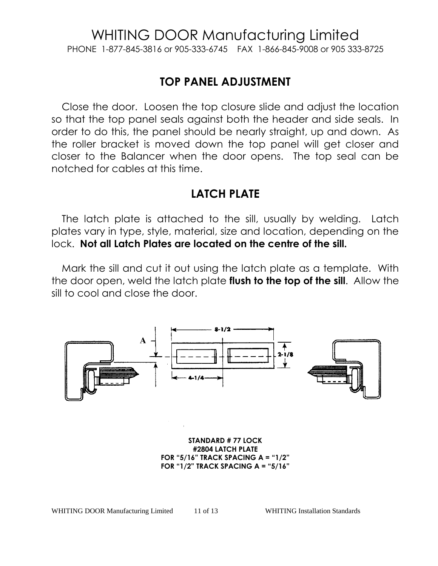PHONE 1-877-845-3816 or 905-333-6745 FAX 1-866-845-9008 or 905 333-8725

### **TOP PANEL ADJUSTMENT**

Close the door. Loosen the top closure slide and adjust the location so that the top panel seals against both the header and side seals. In order to do this, the panel should be nearly straight, up and down. As the roller bracket is moved down the top panel will get closer and closer to the Balancer when the door opens. The top seal can be notched for cables at this time.

#### **LATCH PLATE**

The latch plate is attached to the sill, usually by welding. Latch plates vary in type, style, material, size and location, depending on the lock. **Not all Latch Plates are located on the centre of the sill.**

Mark the sill and cut it out using the latch plate as a template. With the door open, weld the latch plate **flush to the top of the sill**. Allow the sill to cool and close the door.



**STANDARD # 77 LOCK #2804 LATCH PLATE FOR "5/16" TRACK SPACING A = "1/2" FOR "1/2" TRACK SPACING A = "5/16"**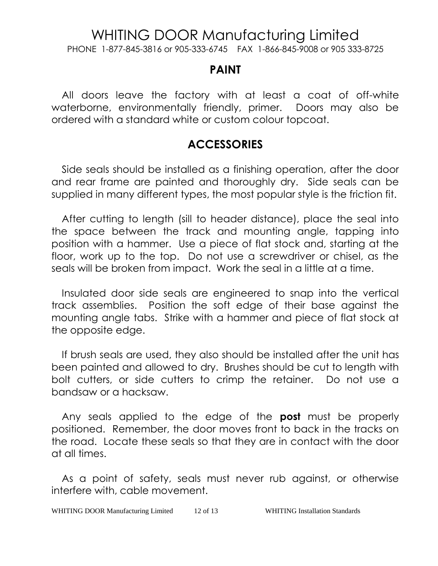PHONE 1-877-845-3816 or 905-333-6745 FAX 1-866-845-9008 or 905 333-8725

#### **PAINT**

All doors leave the factory with at least a coat of off-white waterborne, environmentally friendly, primer. Doors may also be ordered with a standard white or custom colour topcoat.

## **ACCESSORIES**

Side seals should be installed as a finishing operation, after the door and rear frame are painted and thoroughly dry. Side seals can be supplied in many different types, the most popular style is the friction fit.

After cutting to length (sill to header distance), place the seal into the space between the track and mounting angle, tapping into position with a hammer. Use a piece of flat stock and, starting at the floor, work up to the top. Do not use a screwdriver or chisel, as the seals will be broken from impact. Work the seal in a little at a time.

Insulated door side seals are engineered to snap into the vertical track assemblies. Position the soft edge of their base against the mounting angle tabs. Strike with a hammer and piece of flat stock at the opposite edge.

If brush seals are used, they also should be installed after the unit has been painted and allowed to dry. Brushes should be cut to length with bolt cutters, or side cutters to crimp the retainer. Do not use a bandsaw or a hacksaw.

Any seals applied to the edge of the **post** must be properly positioned. Remember, the door moves front to back in the tracks on the road. Locate these seals so that they are in contact with the door at all times.

As a point of safety, seals must never rub against, or otherwise interfere with, cable movement.